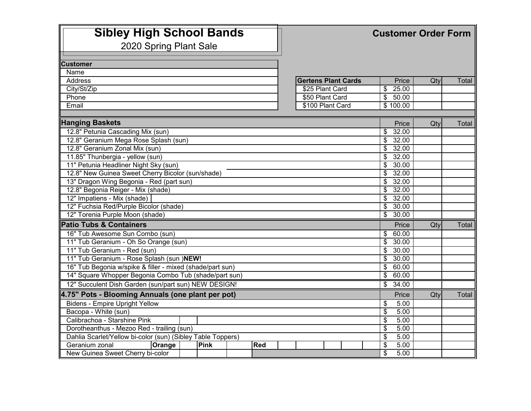| <b>Sibley High School Bands</b><br>2020 Spring Plant Sale   |                            | <b>Customer Order Form</b>                 |     |       |  |  |
|-------------------------------------------------------------|----------------------------|--------------------------------------------|-----|-------|--|--|
| <b>Customer</b>                                             |                            |                                            |     |       |  |  |
| Name                                                        |                            |                                            |     |       |  |  |
| Address                                                     | <b>Gertens Plant Cards</b> | Price                                      | Qty | Total |  |  |
| City/St/Zip                                                 | \$25 Plant Card            | $\sqrt{$}$ 25.00                           |     |       |  |  |
| Phone                                                       | \$50 Plant Card            | \$50.00                                    |     |       |  |  |
| Email                                                       | \$100 Plant Card           | \$100.00                                   |     |       |  |  |
| <b>Hanging Baskets</b>                                      |                            | Price                                      | Qty | Total |  |  |
| 12.8" Petunia Cascading Mix (sun)                           |                            | $\overline{\mathcal{S}}$<br>32.00          |     |       |  |  |
| 12.8" Geranium Mega Rose Splash (sun)                       |                            | $\overline{\mathcal{S}}$<br>32.00          |     |       |  |  |
| 12.8" Geranium Zonal Mix (sun)                              |                            | $\overline{\mathcal{S}}$<br>32.00          |     |       |  |  |
| 11.85" Thunbergia - yellow (sun)                            |                            | 32.00<br>\$                                |     |       |  |  |
| 11" Petunia Headliner Night Sky (sun)                       |                            | 30.00<br>\$                                |     |       |  |  |
| 12.8" New Guinea Sweet Cherry Bicolor (sun/shade)           |                            | \$<br>32.00                                |     |       |  |  |
| 13" Dragon Wing Begonia - Red (part sun)                    |                            | $\overline{\mathbf{e}}$<br>32.00           |     |       |  |  |
| 12.8" Begonia Reiger - Mix (shade)                          |                            | \$<br>32.00                                |     |       |  |  |
| 12" Impatiens - Mix (shade)                                 |                            | $\frac{1}{2}$ 32.00                        |     |       |  |  |
| 12" Fuchsia Red/Purple Bicolor (shade)                      |                            | \$30.00                                    |     |       |  |  |
| 12" Torenia Purple Moon (shade)                             |                            | $\overline{\$}$<br>30.00                   |     |       |  |  |
| <b>Patio Tubs &amp; Containers</b>                          |                            | Price                                      | Qty | Total |  |  |
| 16" Tub Awesome Sun Combo (sun)                             |                            | \$60.00                                    |     |       |  |  |
| 11" Tub Geranium - Oh So Orange (sun)                       |                            | \$<br>30.00                                |     |       |  |  |
| 11" Tub Geranium - Red (sun)                                |                            | 30.00<br>\$                                |     |       |  |  |
| 11" Tub Geranium - Rose Splash (sun )NEW!                   |                            | \$<br>30.00                                |     |       |  |  |
| 16" Tub Begonia w/spike & filler - mixed (shade/part sun)   |                            | $\overline{\mathcal{S}}$<br>60.00          |     |       |  |  |
| 14" Square Whopper Begonia Combo Tub (shade/part sun)       |                            | 60.00<br>\$                                |     |       |  |  |
| 12" Succulent Dish Garden (sun/part sun) NEW DESIGN!        |                            | \$<br>34.00                                |     |       |  |  |
| 4.75" Pots - Blooming Annuals (one plant per pot)           |                            | Price                                      | Qty | Total |  |  |
| <b>Bidens - Empire Upright Yellow</b>                       |                            | \$<br>5.00                                 |     |       |  |  |
| Bacopa - White (sun)<br>Calibrachoa - Starshine Pink        |                            | \$<br>5.00<br>5.00                         |     |       |  |  |
| Dorotheanthus - Mezoo Red - trailing (sun)                  |                            | \$<br>$\overline{\mathcal{S}}$<br>5.00     |     |       |  |  |
| Dahlia Scarlet/Yellow bi-color (sun) (Sibley Table Toppers) |                            | 5.00<br>\$                                 |     |       |  |  |
| Geranium zonal<br>Orange<br><b>Pink</b><br><b>Red</b>       |                            | $\overline{\boldsymbol{\epsilon}}$<br>5.00 |     |       |  |  |
| New Guinea Sweet Cherry bi-color                            |                            | $\overline{\$}$<br>5.00                    |     |       |  |  |
|                                                             |                            |                                            |     |       |  |  |